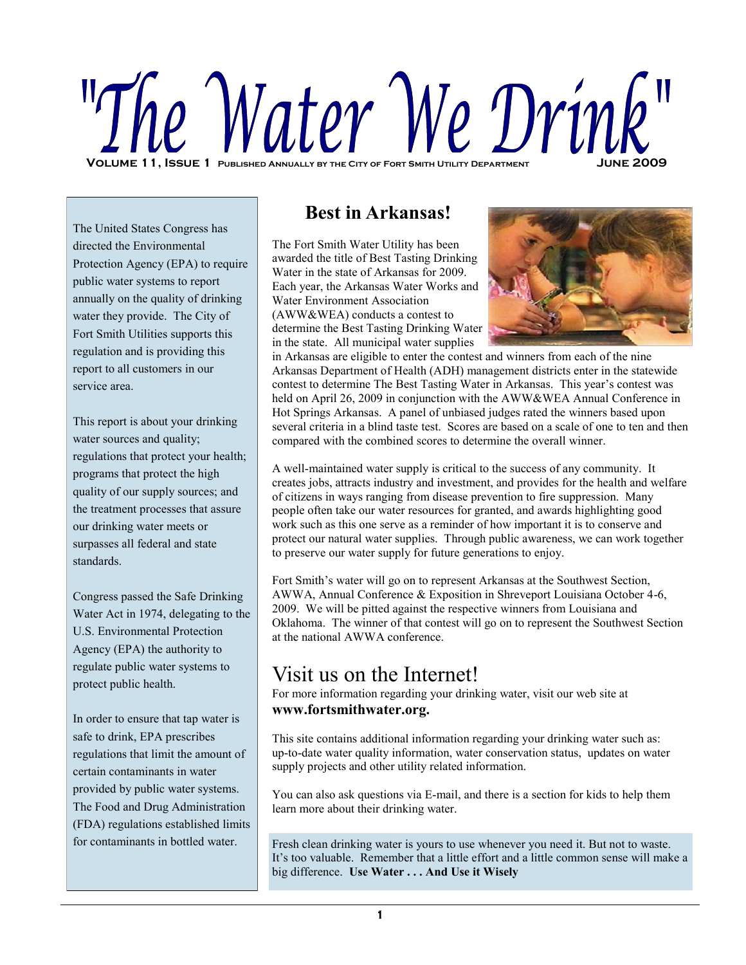# **Volume 11, Issue 1 Published Annually by the City of Fort Smith Utility Department June 2009**

The United States Congress has directed the Environmental Protection Agency (EPA) to require public water systems to report annually on the quality of drinking water they provide. The City of Fort Smith Utilities supports this regulation and is providing this report to all customers in our service area.

This report is about your drinking water sources and quality; regulations that protect your health; programs that protect the high quality of our supply sources; and the treatment processes that assure our drinking water meets or surpasses all federal and state standards.

Congress passed the Safe Drinking Water Act in 1974, delegating to the U.S. Environmental Protection Agency (EPA) the authority to regulate public water systems to protect public health.

In order to ensure that tap water is safe to drink, EPA prescribes regulations that limit the amount of certain contaminants in water provided by public water systems. The Food and Drug Administration (FDA) regulations established limits for contaminants in bottled water.

# **Best in Arkansas!**

The Fort Smith Water Utility has been awarded the title of Best Tasting Drinking Water in the state of Arkansas for 2009. Each year, the Arkansas Water Works and Water Environment Association (AWW&WEA) conducts a contest to determine the Best Tasting Drinking Water in the state. All municipal water supplies



in Arkansas are eligible to enter the contest and winners from each of the nine Arkansas Department of Health (ADH) management districts enter in the statewide contest to determine The Best Tasting Water in Arkansas. This year's contest was held on April 26, 2009 in conjunction with the AWW&WEA Annual Conference in Hot Springs Arkansas. A panel of unbiased judges rated the winners based upon several criteria in a blind taste test. Scores are based on a scale of one to ten and then compared with the combined scores to determine the overall winner.

A well-maintained water supply is critical to the success of any community. It creates jobs, attracts industry and investment, and provides for the health and welfare of citizens in ways ranging from disease prevention to fire suppression. Many people often take our water resources for granted, and awards highlighting good work such as this one serve as a reminder of how important it is to conserve and protect our natural water supplies. Through public awareness, we can work together to preserve our water supply for future generations to enjoy.

Fort Smith's water will go on to represent Arkansas at the Southwest Section, AWWA, Annual Conference & Exposition in Shreveport Louisiana October 4-6, 2009. We will be pitted against the respective winners from Louisiana and Oklahoma. The winner of that contest will go on to represent the Southwest Section at the national AWWA conference.

# Visit us on the Internet!

For more information regarding your drinking water, visit our web site at **www.fortsmithwater.org.**

This site contains additional information regarding your drinking water such as: up-to-date water quality information, water conservation status, updates on water supply projects and other utility related information.

You can also ask questions via E-mail, and there is a section for kids to help them learn more about their drinking water.

Fresh clean drinking water is yours to use whenever you need it. But not to waste. It's too valuable. Remember that a little effort and a little common sense will make a big difference. **Use Water . . . And Use it Wisely**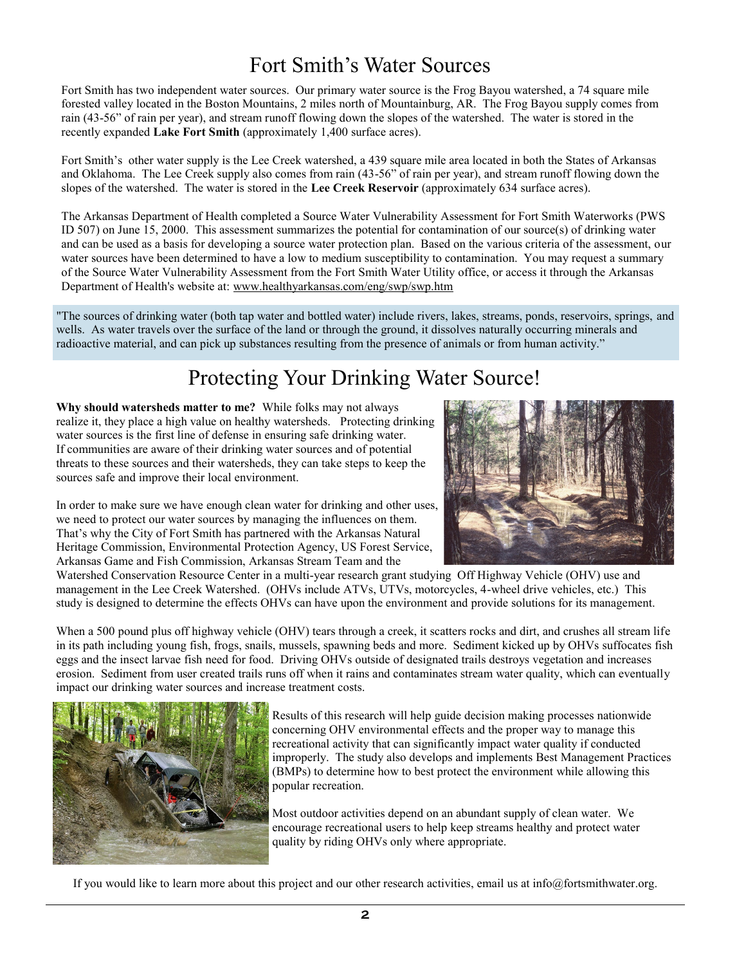# Fort Smith's Water Sources

Fort Smith has two independent water sources. Our primary water source is the Frog Bayou watershed, a 74 square mile forested valley located in the Boston Mountains, 2 miles north of Mountainburg, AR. The Frog Bayou supply comes from rain (43-56" of rain per year), and stream runoff flowing down the slopes of the watershed. The water is stored in the recently expanded **Lake Fort Smith** (approximately 1,400 surface acres).

Fort Smith's other water supply is the Lee Creek watershed, a 439 square mile area located in both the States of Arkansas and Oklahoma. The Lee Creek supply also comes from rain (43-56" of rain per year), and stream runoff flowing down the slopes of the watershed. The water is stored in the **Lee Creek Reservoir** (approximately 634 surface acres).

The Arkansas Department of Health completed a Source Water Vulnerability Assessment for Fort Smith Waterworks (PWS ID 507) on June 15, 2000. This assessment summarizes the potential for contamination of our source(s) of drinking water and can be used as a basis for developing a source water protection plan. Based on the various criteria of the assessment, our water sources have been determined to have a low to medium susceptibility to contamination. You may request a summary of the Source Water Vulnerability Assessment from the Fort Smith Water Utility office, or access it through the Arkansas Department of Health's website at: www.healthyarkansas.com/eng/swp/swp.htm

"The sources of drinking water (both tap water and bottled water) include rivers, lakes, streams, ponds, reservoirs, springs, and wells. As water travels over the surface of the land or through the ground, it dissolves naturally occurring minerals and radioactive material, and can pick up substances resulting from the presence of animals or from human activity."

# Protecting Your Drinking Water Source!

**Why should watersheds matter to me?** While folks may not always realize it, they place a high value on healthy watersheds. Protecting drinking water sources is the first line of defense in ensuring safe drinking water. If communities are aware of their drinking water sources and of potential threats to these sources and their watersheds, they can take steps to keep the sources safe and improve their local environment.

In order to make sure we have enough clean water for drinking and other uses, we need to protect our water sources by managing the influences on them. That's why the City of Fort Smith has partnered with the Arkansas Natural Heritage Commission, Environmental Protection Agency, US Forest Service, Arkansas Game and Fish Commission, Arkansas Stream Team and the



When a 500 pound plus off highway vehicle (OHV) tears through a creek, it scatters rocks and dirt, and crushes all stream life in its path including young fish, frogs, snails, mussels, spawning beds and more. Sediment kicked up by OHVs suffocates fish eggs and the insect larvae fish need for food. Driving OHVs outside of designated trails destroys vegetation and increases erosion. Sediment from user created trails runs off when it rains and contaminates stream water quality, which can eventually impact our drinking water sources and increase treatment costs.



Results of this research will help guide decision making processes nationwide concerning OHV environmental effects and the proper way to manage this recreational activity that can significantly impact water quality if conducted improperly. The study also develops and implements Best Management Practices (BMPs) to determine how to best protect the environment while allowing this popular recreation.

Most outdoor activities depend on an abundant supply of clean water. We encourage recreational users to help keep streams healthy and protect water quality by riding OHVs only where appropriate.

If you would like to learn more about this project and our other research activities, email us at info@fortsmithwater.org.

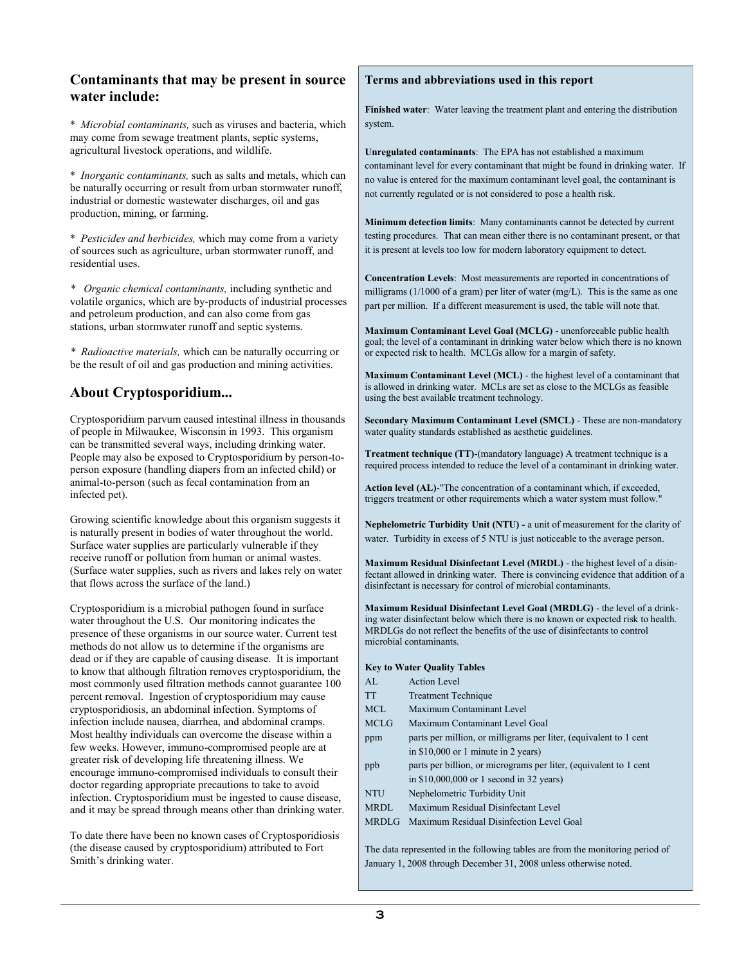# **Contaminants that may be present in source water include:**

\* *Microbial contaminants,* such as viruses and bacteria, which may come from sewage treatment plants, septic systems, agricultural livestock operations, and wildlife.

\* *Inorganic contaminants,* such as salts and metals, which can be naturally occurring or result from urban stormwater runoff, industrial or domestic wastewater discharges, oil and gas production, mining, or farming.

\* *Pesticides and herbicides,* which may come from a variety of sources such as agriculture, urban stormwater runoff, and residential uses.

*\* Organic chemical contaminants,* including synthetic and volatile organics, which are by-products of industrial processes and petroleum production, and can also come from gas stations, urban stormwater runoff and septic systems.

*\* Radioactive materials,* which can be naturally occurring or be the result of oil and gas production and mining activities.

# **About Cryptosporidium...**

Cryptosporidium parvum caused intestinal illness in thousands of people in Milwaukee, Wisconsin in 1993. This organism can be transmitted several ways, including drinking water. People may also be exposed to Cryptosporidium by person-toperson exposure (handling diapers from an infected child) or animal-to-person (such as fecal contamination from an infected pet).

Growing scientific knowledge about this organism suggests it is naturally present in bodies of water throughout the world. Surface water supplies are particularly vulnerable if they receive runoff or pollution from human or animal wastes. (Surface water supplies, such as rivers and lakes rely on water that flows across the surface of the land.)

Cryptosporidium is a microbial pathogen found in surface water throughout the U.S. Our monitoring indicates the presence of these organisms in our source water. Current test methods do not allow us to determine if the organisms are dead or if they are capable of causing disease. It is important to know that although filtration removes cryptosporidium, the most commonly used filtration methods cannot guarantee 100 percent removal. Ingestion of cryptosporidium may cause cryptosporidiosis, an abdominal infection. Symptoms of infection include nausea, diarrhea, and abdominal cramps. Most healthy individuals can overcome the disease within a few weeks. However, immuno-compromised people are at greater risk of developing life threatening illness. We encourage immuno-compromised individuals to consult their doctor regarding appropriate precautions to take to avoid infection. Cryptosporidium must be ingested to cause disease, and it may be spread through means other than drinking water.

To date there have been no known cases of Cryptosporidiosis (the disease caused by cryptosporidium) attributed to Fort Smith's drinking water.

#### **Terms and abbreviations used in this report**

**Finished water**: Water leaving the treatment plant and entering the distribution system.

**Unregulated contaminants**: The EPA has not established a maximum contaminant level for every contaminant that might be found in drinking water. If no value is entered for the maximum contaminant level goal, the contaminant is not currently regulated or is not considered to pose a health risk.

**Minimum detection limits**: Many contaminants cannot be detected by current testing procedures. That can mean either there is no contaminant present, or that it is present at levels too low for modern laboratory equipment to detect.

**Concentration Levels**: Most measurements are reported in concentrations of milligrams (1/1000 of a gram) per liter of water (mg/L). This is the same as one part per million. If a different measurement is used, the table will note that.

**Maximum Contaminant Level Goal (MCLG)** - unenforceable public health goal; the level of a contaminant in drinking water below which there is no known or expected risk to health. MCLGs allow for a margin of safety.

**Maximum Contaminant Level (MCL)** - the highest level of a contaminant that is allowed in drinking water. MCLs are set as close to the MCLGs as feasible using the best available treatment technology.

**Secondary Maximum Contaminant Level (SMCL)** - These are non-mandatory water quality standards established as aesthetic guidelines.

**Treatment technique (TT)**-(mandatory language) A treatment technique is a required process intended to reduce the level of a contaminant in drinking water.

**Action level (AL)***-*"The concentration of a contaminant which, if exceeded, triggers treatment or other requirements which a water system must follow."

**Nephelometric Turbidity Unit (NTU) -** a unit of measurement for the clarity of water. Turbidity in excess of 5 NTU is just noticeable to the average person.

**Maximum Residual Disinfectant Level (MRDL)** - the highest level of a disinfectant allowed in drinking water. There is convincing evidence that addition of a disinfectant is necessary for control of microbial contaminants.

**Maximum Residual Disinfectant Level Goal (MRDLG)** - the level of a drinking water disinfectant below which there is no known or expected risk to health. MRDLGs do not reflect the benefits of the use of disinfectants to control microbial contaminants.

#### **Key to Water Quality Tables**

- AL Action Level TT Treatment Technique
- MCL Maximum Contaminant Level
- MCLG Maximum Contaminant Level Goal
- ppm parts per million, or milligrams per liter, (equivalent to 1 cent in \$10,000 or 1 minute in 2 years)
- ppb parts per billion, or micrograms per liter, (equivalent to 1 cent in \$10,000,000 or 1 second in 32 years)
- NTU Nephelometric Turbidity Unit
- MRDL Maximum Residual Disinfectant Level
- MRDLG Maximum Residual Disinfection Level Goal

The data represented in the following tables are from the monitoring period of January 1, 2008 through December 31, 2008 unless otherwise noted.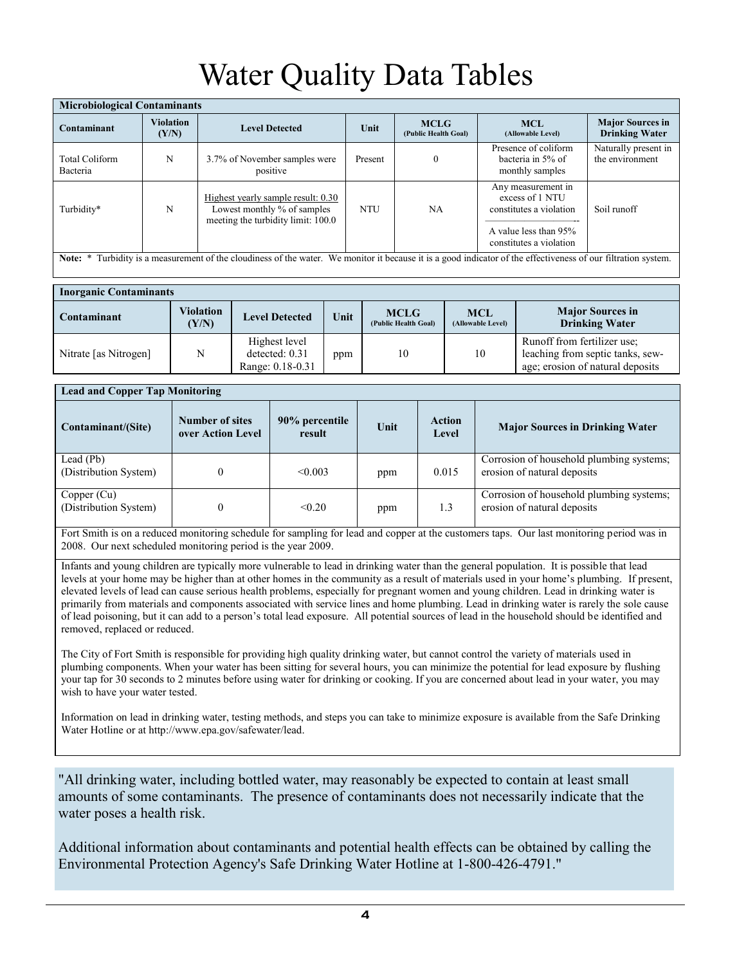# Water Quality Data Tables

| <b>Microbiological Contaminants</b>                                                                                                                            |                           |                                                                                                         |            |                                     |                                                                                                                      |                                                  |  |  |
|----------------------------------------------------------------------------------------------------------------------------------------------------------------|---------------------------|---------------------------------------------------------------------------------------------------------|------------|-------------------------------------|----------------------------------------------------------------------------------------------------------------------|--------------------------------------------------|--|--|
| Contaminant                                                                                                                                                    | <b>Violation</b><br>(Y/N) | <b>Level Detected</b>                                                                                   | Unit       | <b>MCLG</b><br>(Public Health Goal) | <b>MCL</b><br>(Allowable Level)                                                                                      | <b>Major Sources in</b><br><b>Drinking Water</b> |  |  |
| <b>Total Coliform</b><br>Bacteria                                                                                                                              | N                         | 3.7% of November samples were<br>positive                                                               | Present    | $\mathbf{0}$                        | Presence of coliform<br>bacteria in 5% of<br>monthly samples                                                         | Naturally present in<br>the environment          |  |  |
| Turbidity*                                                                                                                                                     | N                         | Highest yearly sample result: 0.30<br>Lowest monthly % of samples<br>meeting the turbidity limit: 100.0 | <b>NTU</b> | NA.                                 | Any measurement in<br>excess of 1 NTU<br>constitutes a violation<br>A value less than 95%<br>constitutes a violation | Soil runoff                                      |  |  |
| Note: * Turbidity is a measurement of the cloudiness of the water. We monitor it because it is a good indicator of the effectiveness of our filtration system. |                           |                                                                                                         |            |                                     |                                                                                                                      |                                                  |  |  |

| <b>Inorganic Contaminants</b> |                                           |                                                     |      |                                     |                                 |                                                                                                     |
|-------------------------------|-------------------------------------------|-----------------------------------------------------|------|-------------------------------------|---------------------------------|-----------------------------------------------------------------------------------------------------|
| Contaminant                   | <b>Violation</b><br>$\langle Y/N \rangle$ | <b>Level Detected</b>                               | Unit | <b>MCLG</b><br>(Public Health Goal) | <b>MCL</b><br>(Allowable Level) | <b>Major Sources in</b><br><b>Drinking Water</b>                                                    |
| Nitrate [as Nitrogen]         | N                                         | Highest level<br>detected: 0.31<br>Range: 0.18-0.31 | ppm  | 10                                  | 10                              | Runoff from fertilizer use;<br>leaching from septic tanks, sew-<br>age; erosion of natural deposits |

| <b>Lead and Copper Tap Monitoring</b> |                                             |                          |      |                        |                                                                         |  |  |  |
|---------------------------------------|---------------------------------------------|--------------------------|------|------------------------|-------------------------------------------------------------------------|--|--|--|
| Contaminant/(Site)                    | <b>Number of sites</b><br>over Action Level | 90% percentile<br>result | Unit | <b>Action</b><br>Level | <b>Major Sources in Drinking Water</b>                                  |  |  |  |
| Lead (Pb)<br>(Distribution System)    |                                             | < 0.003                  | ppm  | 0.015                  | Corrosion of household plumbing systems;<br>erosion of natural deposits |  |  |  |
| Copper (Cu)<br>(Distribution System)  |                                             | < 0.20                   | ppm  | 1.3                    | Corrosion of household plumbing systems;<br>erosion of natural deposits |  |  |  |

Fort Smith is on a reduced monitoring schedule for sampling for lead and copper at the customers taps. Our last monitoring period was in 2008. Our next scheduled monitoring period is the year 2009.

Infants and young children are typically more vulnerable to lead in drinking water than the general population. It is possible that lead levels at your home may be higher than at other homes in the community as a result of materials used in your home's plumbing. If present, elevated levels of lead can cause serious health problems, especially for pregnant women and young children. Lead in drinking water is primarily from materials and components associated with service lines and home plumbing. Lead in drinking water is rarely the sole cause of lead poisoning, but it can add to a person's total lead exposure. All potential sources of lead in the household should be identified and removed, replaced or reduced.

The City of Fort Smith is responsible for providing high quality drinking water, but cannot control the variety of materials used in plumbing components. When your water has been sitting for several hours, you can minimize the potential for lead exposure by flushing your tap for 30 seconds to 2 minutes before using water for drinking or cooking. If you are concerned about lead in your water, you may wish to have your water tested.

Information on lead in drinking water, testing methods, and steps you can take to minimize exposure is available from the Safe Drinking Water Hotline or at http://www.epa.gov/safewater/lead.

"All drinking water, including bottled water, may reasonably be expected to contain at least small amounts of some contaminants. The presence of contaminants does not necessarily indicate that the water poses a health risk.

Additional information about contaminants and potential health effects can be obtained by calling the Environmental Protection Agency's Safe Drinking Water Hotline at 1-800-426-4791."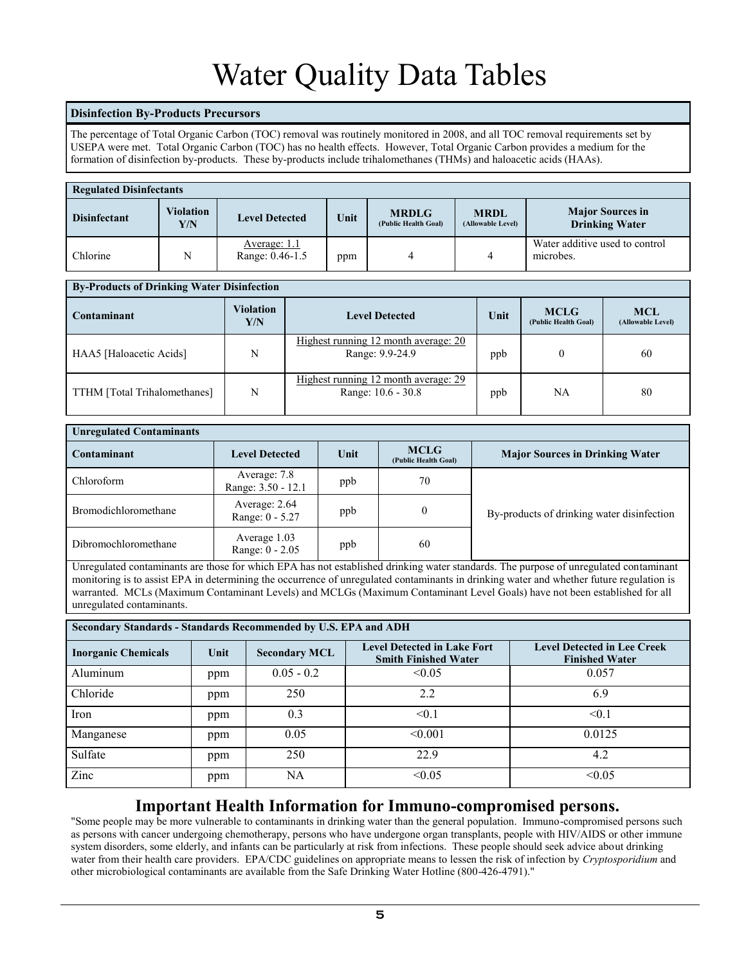# Water Quality Data Tables

## **Disinfection By-Products Precursors**

The percentage of Total Organic Carbon (TOC) removal was routinely monitored in 2008, and all TOC removal requirements set by USEPA were met. Total Organic Carbon (TOC) has no health effects. However, Total Organic Carbon provides a medium for the formation of disinfection by-products. These by-products include trihalomethanes (THMs) and haloacetic acids (HAAs).

| <b>Regulated Disinfectants</b> |                         |                                 |      |                                      |                                  |                                                  |  |
|--------------------------------|-------------------------|---------------------------------|------|--------------------------------------|----------------------------------|--------------------------------------------------|--|
| <b>Disinfectant</b>            | <b>Violation</b><br>Y/N | <b>Level Detected</b>           | Unit | <b>MRDLG</b><br>(Public Health Goal) | <b>MRDL</b><br>(Allowable Level) | <b>Major Sources in</b><br><b>Drinking Water</b> |  |
| Chlorine                       | N                       | Average: 1.1<br>Range: 0.46-1.5 | ppm  |                                      |                                  | Water additive used to control<br>microbes.      |  |

| <b>By-Products of Drinking Water Disinfection</b> |                         |                                                            |      |                                     |                                 |  |  |  |
|---------------------------------------------------|-------------------------|------------------------------------------------------------|------|-------------------------------------|---------------------------------|--|--|--|
| Contaminant                                       | <b>Violation</b><br>Y/N | <b>Level Detected</b>                                      | Unit | <b>MCLG</b><br>(Public Health Goal) | <b>MCL</b><br>(Allowable Level) |  |  |  |
| HAA5 [Haloacetic Acids]                           | N                       | Highest running 12 month average: 20<br>Range: 9.9-24.9    | ppb  |                                     | 60                              |  |  |  |
| TTHM [Total Trihalomethanes]                      | N                       | Highest running 12 month average: 29<br>Range: 10.6 - 30.8 | ppb  | NA                                  | 80                              |  |  |  |

| <b>Unregulated Contaminants</b> |                                    |      |                                     |                                            |  |  |
|---------------------------------|------------------------------------|------|-------------------------------------|--------------------------------------------|--|--|
| Contaminant                     | <b>Level Detected</b>              | Unit | <b>MCLG</b><br>(Public Health Goal) | <b>Major Sources in Drinking Water</b>     |  |  |
| Chloroform                      | Average: 7.8<br>Range: 3.50 - 12.1 | ppb  | 70                                  |                                            |  |  |
| Bromodichloromethane            | Average: 2.64<br>Range: 0 - 5.27   | ppb  | $\Omega$                            | By-products of drinking water disinfection |  |  |
| Dibromochloromethane            | Average 1.03<br>Range: 0 - 2.05    | ppb  | 60                                  |                                            |  |  |

Unregulated contaminants are those for which EPA has not established drinking water standards. The purpose of unregulated contaminant monitoring is to assist EPA in determining the occurrence of unregulated contaminants in drinking water and whether future regulation is warranted. MCLs (Maximum Contaminant Levels) and MCLGs (Maximum Contaminant Level Goals) have not been established for all unregulated contaminants.

| Secondary Standards - Standards Recommended by U.S. EPA and ADH |      |                      |                                                                   |                                                             |  |  |  |
|-----------------------------------------------------------------|------|----------------------|-------------------------------------------------------------------|-------------------------------------------------------------|--|--|--|
| <b>Inorganic Chemicals</b>                                      | Unit | <b>Secondary MCL</b> | <b>Level Detected in Lake Fort</b><br><b>Smith Finished Water</b> | <b>Level Detected in Lee Creek</b><br><b>Finished Water</b> |  |  |  |
| Aluminum                                                        | ppm  | $0.05 - 0.2$         | < 0.05                                                            | 0.057                                                       |  |  |  |
| Chloride                                                        | ppm  | 250                  | 2.2                                                               | 6.9                                                         |  |  |  |
| Iron                                                            | ppm  | 0.3                  | $\leq 0.1$                                                        | < 0.1                                                       |  |  |  |
| Manganese                                                       | ppm  | 0.05                 | < 0.001                                                           | 0.0125                                                      |  |  |  |
| Sulfate                                                         | ppm  | 250                  | 22.9                                                              | 4.2                                                         |  |  |  |
| Zinc                                                            | ppm  | NA                   | < 0.05                                                            | < 0.05                                                      |  |  |  |

# **Important Health Information for Immuno-compromised persons.**

"Some people may be more vulnerable to contaminants in drinking water than the general population. Immuno-compromised persons such as persons with cancer undergoing chemotherapy, persons who have undergone organ transplants, people with HIV/AIDS or other immune system disorders, some elderly, and infants can be particularly at risk from infections. These people should seek advice about drinking water from their health care providers. EPA/CDC guidelines on appropriate means to lessen the risk of infection by *Cryptosporidium* and other microbiological contaminants are available from the Safe Drinking Water Hotline (800-426-4791)."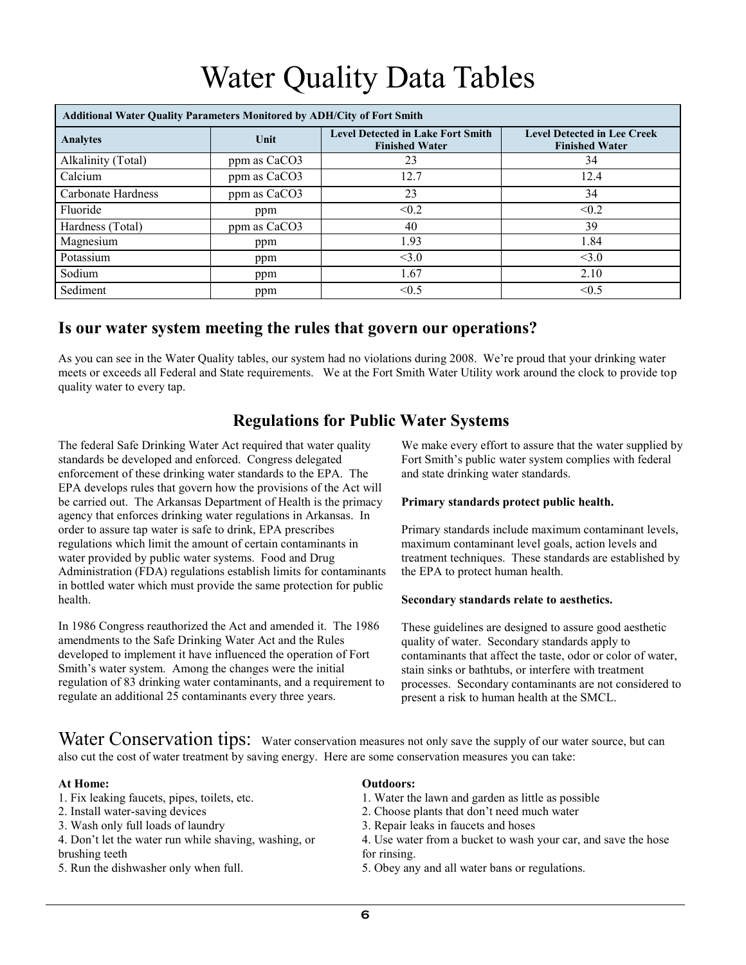# Water Quality Data Tables

| <b>Additional Water Quality Parameters Monitored by ADH/City of Fort Smith</b> |              |                                                                   |                                                             |  |  |  |  |
|--------------------------------------------------------------------------------|--------------|-------------------------------------------------------------------|-------------------------------------------------------------|--|--|--|--|
| <b>Analytes</b>                                                                | Unit         | <b>Level Detected in Lake Fort Smith</b><br><b>Finished Water</b> | <b>Level Detected in Lee Creek</b><br><b>Finished Water</b> |  |  |  |  |
| Alkalinity (Total)                                                             | ppm as CaCO3 | 23                                                                | 34                                                          |  |  |  |  |
| Calcium                                                                        | ppm as CaCO3 | 12.7                                                              | 12.4                                                        |  |  |  |  |
| Carbonate Hardness                                                             | ppm as CaCO3 | 23                                                                | 34                                                          |  |  |  |  |
| Fluoride                                                                       | ppm          | < 0.2                                                             | < 0.2                                                       |  |  |  |  |
| Hardness (Total)                                                               | ppm as CaCO3 | 40                                                                | 39                                                          |  |  |  |  |
| Magnesium                                                                      | ppm          | 1.93                                                              | 1.84                                                        |  |  |  |  |
| Potassium                                                                      | ppm          | < 3.0                                                             | < 3.0                                                       |  |  |  |  |
| Sodium                                                                         | ppm          | 1.67                                                              | 2.10                                                        |  |  |  |  |
| Sediment                                                                       | ppm          | < 0.5                                                             | $\leq 0.5$                                                  |  |  |  |  |

# **Is our water system meeting the rules that govern our operations?**

As you can see in the Water Quality tables, our system had no violations during 2008. We're proud that your drinking water meets or exceeds all Federal and State requirements. We at the Fort Smith Water Utility work around the clock to provide top quality water to every tap.

# **Regulations for Public Water Systems**

The federal Safe Drinking Water Act required that water quality standards be developed and enforced. Congress delegated enforcement of these drinking water standards to the EPA. The EPA develops rules that govern how the provisions of the Act will be carried out. The Arkansas Department of Health is the primacy agency that enforces drinking water regulations in Arkansas. In order to assure tap water is safe to drink, EPA prescribes regulations which limit the amount of certain contaminants in water provided by public water systems. Food and Drug Administration (FDA) regulations establish limits for contaminants in bottled water which must provide the same protection for public health.

In 1986 Congress reauthorized the Act and amended it. The 1986 amendments to the Safe Drinking Water Act and the Rules developed to implement it have influenced the operation of Fort Smith's water system. Among the changes were the initial regulation of 83 drinking water contaminants, and a requirement to regulate an additional 25 contaminants every three years.

We make every effort to assure that the water supplied by Fort Smith's public water system complies with federal and state drinking water standards.

## **Primary standards protect public health.**

Primary standards include maximum contaminant levels, maximum contaminant level goals, action levels and treatment techniques. These standards are established by the EPA to protect human health.

## **Secondary standards relate to aesthetics.**

These guidelines are designed to assure good aesthetic quality of water. Secondary standards apply to contaminants that affect the taste, odor or color of water, stain sinks or bathtubs, or interfere with treatment processes. Secondary contaminants are not considered to present a risk to human health at the SMCL.

Water Conservation tips: Water conservation measures not only save the supply of our water source, but can also cut the cost of water treatment by saving energy. Here are some conservation measures you can take:

## **At Home:**

- 1. Fix leaking faucets, pipes, toilets, etc.
- 2. Install water-saving devices
- 3. Wash only full loads of laundry
- 4. Don't let the water run while shaving, washing, or brushing teeth
- 5. Run the dishwasher only when full.

## **Outdoors:**

- 1. Water the lawn and garden as little as possible
- 2. Choose plants that don't need much water
- 3. Repair leaks in faucets and hoses
- 4. Use water from a bucket to wash your car, and save the hose for rinsing.
- 5. Obey any and all water bans or regulations.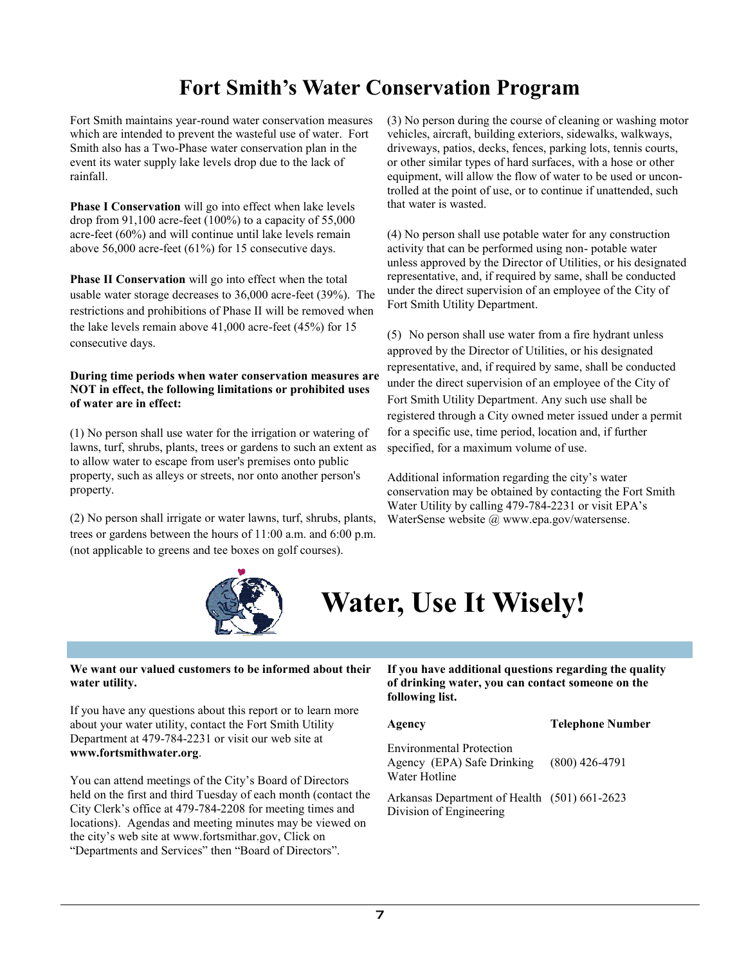# **Fort Smith's Water Conservation Program**

Fort Smith maintains year-round water conservation measures which are intended to prevent the wasteful use of water. Fort Smith also has a Two-Phase water conservation plan in the event its water supply lake levels drop due to the lack of rainfall.

**Phase I Conservation** will go into effect when lake levels drop from 91,100 acre-feet  $(100\%)$  to a capacity of 55,000 acre-feet (60%) and will continue until lake levels remain above 56,000 acre-feet (61%) for 15 consecutive days.

**Phase II Conservation** will go into effect when the total usable water storage decreases to 36,000 acre-feet (39%). The restrictions and prohibitions of Phase II will be removed when the lake levels remain above 41,000 acre-feet (45%) for 15 consecutive days.

#### **During time periods when water conservation measures are NOT in effect, the following limitations or prohibited uses of water are in effect:**

(1) No person shall use water for the irrigation or watering of lawns, turf, shrubs, plants, trees or gardens to such an extent as to allow water to escape from user's premises onto public property, such as alleys or streets, nor onto another person's property.

(2) No person shall irrigate or water lawns, turf, shrubs, plants, trees or gardens between the hours of 11:00 a.m. and 6:00 p.m. (not applicable to greens and tee boxes on golf courses).

(3) No person during the course of cleaning or washing motor vehicles, aircraft, building exteriors, sidewalks, walkways, driveways, patios, decks, fences, parking lots, tennis courts, or other similar types of hard surfaces, with a hose or other equipment, will allow the flow of water to be used or uncontrolled at the point of use, or to continue if unattended, such that water is wasted.

(4) No person shall use potable water for any construction activity that can be performed using non- potable water unless approved by the Director of Utilities, or his designated representative, and, if required by same, shall be conducted under the direct supervision of an employee of the City of Fort Smith Utility Department.

(5) No person shall use water from a fire hydrant unless approved by the Director of Utilities, or his designated representative, and, if required by same, shall be conducted under the direct supervision of an employee of the City of Fort Smith Utility Department. Any such use shall be registered through a City owned meter issued under a permit for a specific use, time period, location and, if further specified, for a maximum volume of use.

Additional information regarding the city's water conservation may be obtained by contacting the Fort Smith Water Utility by calling 479-784-2231 or visit EPA's WaterSense website @ www.epa.gov/watersense.



# **Water, Use It Wisely!**

#### **We want our valued customers to be informed about their water utility.**

If you have any questions about this report or to learn more about your water utility, contact the Fort Smith Utility Department at 479-784-2231 or visit our web site at **www.fortsmithwater.org**.

You can attend meetings of the City's Board of Directors held on the first and third Tuesday of each month (contact the City Clerk's office at 479-784-2208 for meeting times and locations). Agendas and meeting minutes may be viewed on the city's web site at www.fortsmithar.gov, Click on "Departments and Services" then "Board of Directors".

#### **If you have additional questions regarding the quality of drinking water, you can contact someone on the following list.**

**Agency Telephone Number**

Environmental Protection Agency (EPA) Safe Drinking Water Hotline (800) 426-4791

Arkansas Department of Health (501) 661-2623 Division of Engineering